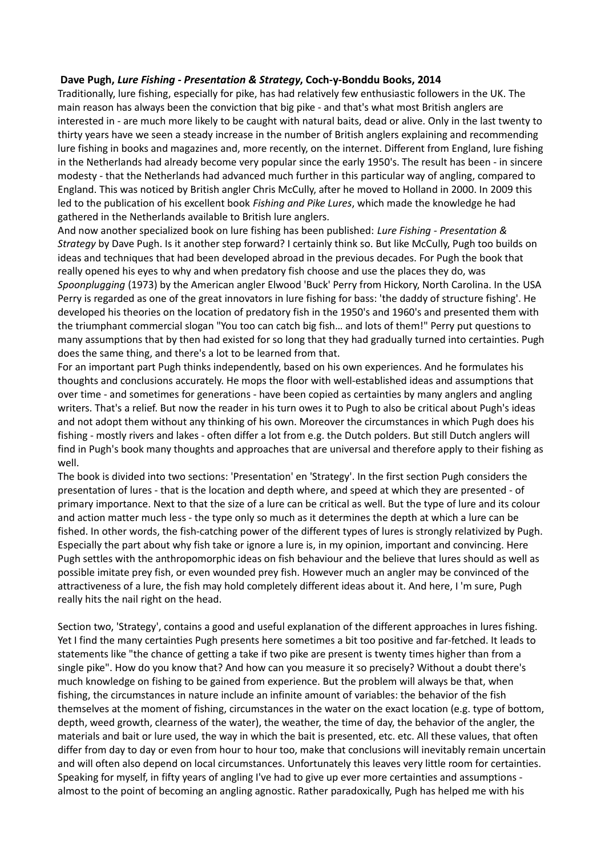## **Dave Pugh,** *Lure Fishing - Presentation & Strategy***, Coch-y-Bonddu Books, 2014**

Traditionally, lure fishing, especially for pike, has had relatively few enthusiastic followers in the UK. The main reason has always been the conviction that big pike - and that's what most British anglers are interested in - are much more likely to be caught with natural baits, dead or alive. Only in the last twenty to thirty years have we seen a steady increase in the number of British anglers explaining and recommending lure fishing in books and magazines and, more recently, on the internet. Different from England, lure fishing in the Netherlands had already become very popular since the early 1950's. The result has been - in sincere modesty - that the Netherlands had advanced much further in this particular way of angling, compared to England. This was noticed by British angler Chris McCully, after he moved to Holland in 2000. In 2009 this led to the publication of his excellent book *Fishing and Pike Lures*, which made the knowledge he had gathered in the Netherlands available to British lure anglers.

And now another specialized book on lure fishing has been published: *Lure Fishing - Presentation & Strategy* by Dave Pugh. Is it another step forward? I certainly think so. But like McCully, Pugh too builds on ideas and techniques that had been developed abroad in the previous decades. For Pugh the book that really opened his eyes to why and when predatory fish choose and use the places they do, was *Spoonplugging* (1973) by the American angler Elwood 'Buck' Perry from Hickory, North Carolina. In the USA Perry is regarded as one of the great innovators in lure fishing for bass: 'the daddy of structure fishing'. He developed his theories on the location of predatory fish in the 1950's and 1960's and presented them with the triumphant commercial slogan "You too can catch big fish… and lots of them!" Perry put questions to many assumptions that by then had existed for so long that they had gradually turned into certainties. Pugh does the same thing, and there's a lot to be learned from that.

For an important part Pugh thinks independently, based on his own experiences. And he formulates his thoughts and conclusions accurately. He mops the floor with well-established ideas and assumptions that over time - and sometimes for generations - have been copied as certainties by many anglers and angling writers. That's a relief. But now the reader in his turn owes it to Pugh to also be critical about Pugh's ideas and not adopt them without any thinking of his own. Moreover the circumstances in which Pugh does his fishing - mostly rivers and lakes - often differ a lot from e.g. the Dutch polders. But still Dutch anglers will find in Pugh's book many thoughts and approaches that are universal and therefore apply to their fishing as well.

The book is divided into two sections: 'Presentation' en 'Strategy'. In the first section Pugh considers the presentation of lures - that is the location and depth where, and speed at which they are presented - of primary importance. Next to that the size of a lure can be critical as well. But the type of lure and its colour and action matter much less - the type only so much as it determines the depth at which a lure can be fished. In other words, the fish-catching power of the different types of lures is strongly relativized by Pugh. Especially the part about why fish take or ignore a lure is, in my opinion, important and convincing. Here Pugh settles with the anthropomorphic ideas on fish behaviour and the believe that lures should as well as possible imitate prey fish, or even wounded prey fish. However much an angler may be convinced of the attractiveness of a lure, the fish may hold completely different ideas about it. And here, I 'm sure, Pugh really hits the nail right on the head.

Section two, 'Strategy', contains a good and useful explanation of the different approaches in lures fishing. Yet I find the many certainties Pugh presents here sometimes a bit too positive and far-fetched. It leads to statements like "the chance of getting a take if two pike are present is twenty times higher than from a single pike". How do you know that? And how can you measure it so precisely? Without a doubt there's much knowledge on fishing to be gained from experience. But the problem will always be that, when fishing, the circumstances in nature include an infinite amount of variables: the behavior of the fish themselves at the moment of fishing, circumstances in the water on the exact location (e.g. type of bottom, depth, weed growth, clearness of the water), the weather, the time of day, the behavior of the angler, the materials and bait or lure used, the way in which the bait is presented, etc. etc. All these values, that often differ from day to day or even from hour to hour too, make that conclusions will inevitably remain uncertain and will often also depend on local circumstances. Unfortunately this leaves very little room for certainties. Speaking for myself, in fifty years of angling I've had to give up ever more certainties and assumptions almost to the point of becoming an angling agnostic. Rather paradoxically, Pugh has helped me with his